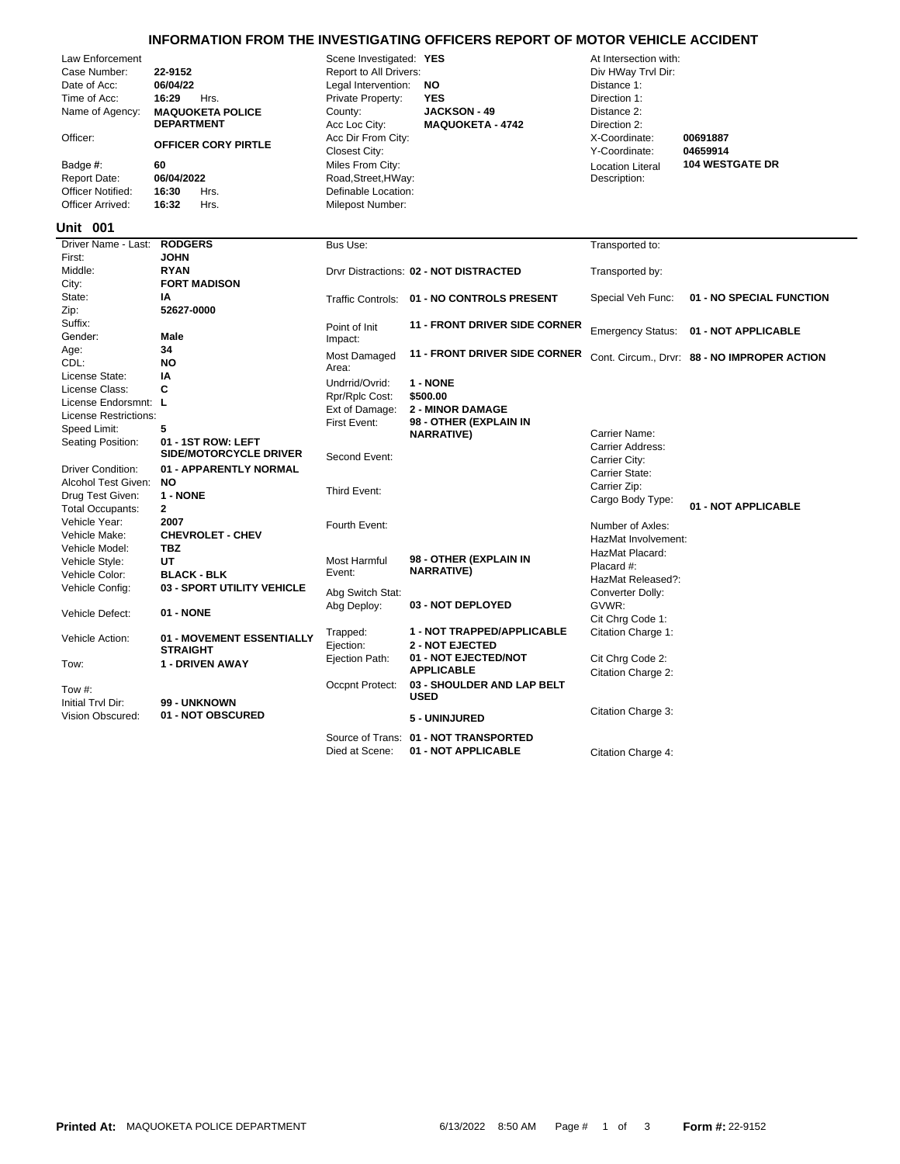## **INFORMATION FROM THE INVESTIGATING OFFICERS REPORT OF MOTOR VEHICLE ACCIDENT**

| Law Enforcement<br>Case Number:<br>Date of Acc:<br>Time of Acc:<br>Name of Agency:<br>Officer:<br>Badge #:<br><b>Report Date:</b><br><b>Officer Notified:</b><br>Officer Arrived:<br><b>Unit 001</b> | 22-9152<br>06/04/22<br>16:29<br>Hrs.<br><b>MAQUOKETA POLICE</b><br><b>DEPARTMENT</b><br><b>OFFICER CORY PIRTLE</b><br>60<br>06/04/2022<br>16:30<br>Hrs.<br>16:32<br>Hrs. | Scene Investigated: YES<br>Report to All Drivers:<br>Legal Intervention:<br>Private Property:<br>County:<br>Acc Loc City:<br>Acc Dir From City:<br><b>Closest City:</b><br>Miles From City:<br>Road, Street, HWay:<br>Definable Location:<br>Milepost Number: | <b>NO</b><br><b>YES</b><br><b>JACKSON - 49</b><br><b>MAQUOKETA - 4742</b> | At Intersection with:<br>Div HWay Trvl Dir:<br>Distance 1:<br>Direction 1:<br>Distance 2:<br>Direction 2:<br>X-Coordinate:<br>Y-Coordinate:<br><b>Location Literal</b><br>Description: | 00691887<br>04659914<br><b>104 WESTGATE DR</b> |
|------------------------------------------------------------------------------------------------------------------------------------------------------------------------------------------------------|--------------------------------------------------------------------------------------------------------------------------------------------------------------------------|---------------------------------------------------------------------------------------------------------------------------------------------------------------------------------------------------------------------------------------------------------------|---------------------------------------------------------------------------|----------------------------------------------------------------------------------------------------------------------------------------------------------------------------------------|------------------------------------------------|
| Driver Name - Last:                                                                                                                                                                                  | <b>RODGERS</b>                                                                                                                                                           | Bus Use:                                                                                                                                                                                                                                                      |                                                                           | Transported to:                                                                                                                                                                        |                                                |
| First:                                                                                                                                                                                               | <b>JOHN</b>                                                                                                                                                              |                                                                                                                                                                                                                                                               |                                                                           |                                                                                                                                                                                        |                                                |
| Middle:                                                                                                                                                                                              | <b>RYAN</b>                                                                                                                                                              |                                                                                                                                                                                                                                                               | Drvr Distractions: 02 - NOT DISTRACTED                                    | Transported by:                                                                                                                                                                        |                                                |
| City:                                                                                                                                                                                                | <b>FORT MADISON</b>                                                                                                                                                      |                                                                                                                                                                                                                                                               |                                                                           |                                                                                                                                                                                        |                                                |
| State:                                                                                                                                                                                               | IΑ                                                                                                                                                                       |                                                                                                                                                                                                                                                               | Traffic Controls: 01 - NO CONTROLS PRESENT                                | Special Veh Func:                                                                                                                                                                      | 01 - NO SPECIAL FUNCTION                       |
| Zip:<br>Suffix:                                                                                                                                                                                      | 52627-0000                                                                                                                                                               |                                                                                                                                                                                                                                                               |                                                                           |                                                                                                                                                                                        |                                                |
| Gender:                                                                                                                                                                                              | Male                                                                                                                                                                     | Point of Init                                                                                                                                                                                                                                                 | <b>11 - FRONT DRIVER SIDE CORNER</b>                                      | <b>Emergency Status:</b>                                                                                                                                                               | 01 - NOT APPLICABLE                            |
| Age:                                                                                                                                                                                                 | 34                                                                                                                                                                       | Impact:                                                                                                                                                                                                                                                       |                                                                           |                                                                                                                                                                                        |                                                |
| CDL:                                                                                                                                                                                                 | <b>NO</b>                                                                                                                                                                | Most Damaged                                                                                                                                                                                                                                                  | <b>11 - FRONT DRIVER SIDE CORNER</b>                                      |                                                                                                                                                                                        | Cont. Circum., Drvr: 88 - NO IMPROPER ACTION   |
| License State:                                                                                                                                                                                       | IA                                                                                                                                                                       | Area:                                                                                                                                                                                                                                                         |                                                                           |                                                                                                                                                                                        |                                                |
| License Class:                                                                                                                                                                                       | C                                                                                                                                                                        | Undrrid/Ovrid:                                                                                                                                                                                                                                                | 1 - NONE                                                                  |                                                                                                                                                                                        |                                                |
| License Endorsmnt: L                                                                                                                                                                                 |                                                                                                                                                                          | Rpr/Rplc Cost:                                                                                                                                                                                                                                                | \$500.00                                                                  |                                                                                                                                                                                        |                                                |
| License Restrictions:                                                                                                                                                                                |                                                                                                                                                                          | Ext of Damage:                                                                                                                                                                                                                                                | <b>2 - MINOR DAMAGE</b><br>98 - OTHER (EXPLAIN IN                         |                                                                                                                                                                                        |                                                |
| Speed Limit:                                                                                                                                                                                         | 5                                                                                                                                                                        | First Event:                                                                                                                                                                                                                                                  | <b>NARRATIVE)</b>                                                         | Carrier Name:                                                                                                                                                                          |                                                |
| Seating Position:                                                                                                                                                                                    | 01 - 1ST ROW: LEFT                                                                                                                                                       |                                                                                                                                                                                                                                                               |                                                                           | Carrier Address:                                                                                                                                                                       |                                                |
|                                                                                                                                                                                                      | SIDE/MOTORCYCLE DRIVER                                                                                                                                                   | Second Event:                                                                                                                                                                                                                                                 |                                                                           | Carrier City:                                                                                                                                                                          |                                                |
| <b>Driver Condition:</b>                                                                                                                                                                             | 01 - APPARENTLY NORMAL                                                                                                                                                   |                                                                                                                                                                                                                                                               |                                                                           | Carrier State:                                                                                                                                                                         |                                                |
| Alcohol Test Given:                                                                                                                                                                                  | <b>NO</b>                                                                                                                                                                | Third Event:                                                                                                                                                                                                                                                  |                                                                           | Carrier Zip:                                                                                                                                                                           |                                                |
| Drug Test Given:                                                                                                                                                                                     | 1 - NONE                                                                                                                                                                 |                                                                                                                                                                                                                                                               |                                                                           | Cargo Body Type:                                                                                                                                                                       | 01 - NOT APPLICABLE                            |
| <b>Total Occupants:</b>                                                                                                                                                                              | $\mathbf{2}$                                                                                                                                                             |                                                                                                                                                                                                                                                               |                                                                           |                                                                                                                                                                                        |                                                |
| Vehicle Year:                                                                                                                                                                                        | 2007                                                                                                                                                                     | Fourth Event:                                                                                                                                                                                                                                                 |                                                                           | Number of Axles:                                                                                                                                                                       |                                                |
| Vehicle Make:                                                                                                                                                                                        | <b>CHEVROLET - CHEV</b>                                                                                                                                                  |                                                                                                                                                                                                                                                               |                                                                           | HazMat Involvement:                                                                                                                                                                    |                                                |
| Vehicle Model:<br>Vehicle Style:                                                                                                                                                                     | <b>TBZ</b><br>UT                                                                                                                                                         | Most Harmful                                                                                                                                                                                                                                                  | 98 - OTHER (EXPLAIN IN                                                    | HazMat Placard:                                                                                                                                                                        |                                                |
| Vehicle Color:                                                                                                                                                                                       | <b>BLACK - BLK</b>                                                                                                                                                       | Event:                                                                                                                                                                                                                                                        | <b>NARRATIVE)</b>                                                         | Placard #:                                                                                                                                                                             |                                                |
| Vehicle Config:                                                                                                                                                                                      | 03 - SPORT UTILITY VEHICLE                                                                                                                                               |                                                                                                                                                                                                                                                               |                                                                           | HazMat Released?:                                                                                                                                                                      |                                                |
|                                                                                                                                                                                                      |                                                                                                                                                                          | Abg Switch Stat:                                                                                                                                                                                                                                              |                                                                           | Converter Dolly:                                                                                                                                                                       |                                                |
| Vehicle Defect:                                                                                                                                                                                      | 01 - NONE                                                                                                                                                                | Abg Deploy:                                                                                                                                                                                                                                                   | 03 - NOT DEPLOYED                                                         | GVWR:                                                                                                                                                                                  |                                                |
|                                                                                                                                                                                                      |                                                                                                                                                                          |                                                                                                                                                                                                                                                               |                                                                           | Cit Chrg Code 1:                                                                                                                                                                       |                                                |
| Vehicle Action:                                                                                                                                                                                      | 01 - MOVEMENT ESSENTIALLY                                                                                                                                                | Trapped:<br>Ejection:                                                                                                                                                                                                                                         | 1 - NOT TRAPPED/APPLICABLE<br><b>2 - NOT EJECTED</b>                      | Citation Charge 1:                                                                                                                                                                     |                                                |
|                                                                                                                                                                                                      | <b>STRAIGHT</b>                                                                                                                                                          | Ejection Path:                                                                                                                                                                                                                                                | 01 - NOT EJECTED/NOT                                                      |                                                                                                                                                                                        |                                                |
| Tow:                                                                                                                                                                                                 | 1 - DRIVEN AWAY                                                                                                                                                          |                                                                                                                                                                                                                                                               | <b>APPLICABLE</b>                                                         | Cit Chrg Code 2:<br>Citation Charge 2:                                                                                                                                                 |                                                |
|                                                                                                                                                                                                      |                                                                                                                                                                          | Occpnt Protect:                                                                                                                                                                                                                                               | 03 - SHOULDER AND LAP BELT                                                |                                                                                                                                                                                        |                                                |
| Tow #:                                                                                                                                                                                               |                                                                                                                                                                          |                                                                                                                                                                                                                                                               | <b>USED</b>                                                               |                                                                                                                                                                                        |                                                |
| Initial Trvl Dir:                                                                                                                                                                                    | 99 - UNKNOWN                                                                                                                                                             |                                                                                                                                                                                                                                                               |                                                                           | Citation Charge 3:                                                                                                                                                                     |                                                |
| Vision Obscured:                                                                                                                                                                                     | 01 - NOT OBSCURED                                                                                                                                                        |                                                                                                                                                                                                                                                               | 5 - UNINJURED                                                             |                                                                                                                                                                                        |                                                |
|                                                                                                                                                                                                      |                                                                                                                                                                          |                                                                                                                                                                                                                                                               | Source of Trans: 01 - NOT TRANSPORTED                                     |                                                                                                                                                                                        |                                                |

Died at Scene: **01 - NOT APPLICABLE** Citation Charge 4: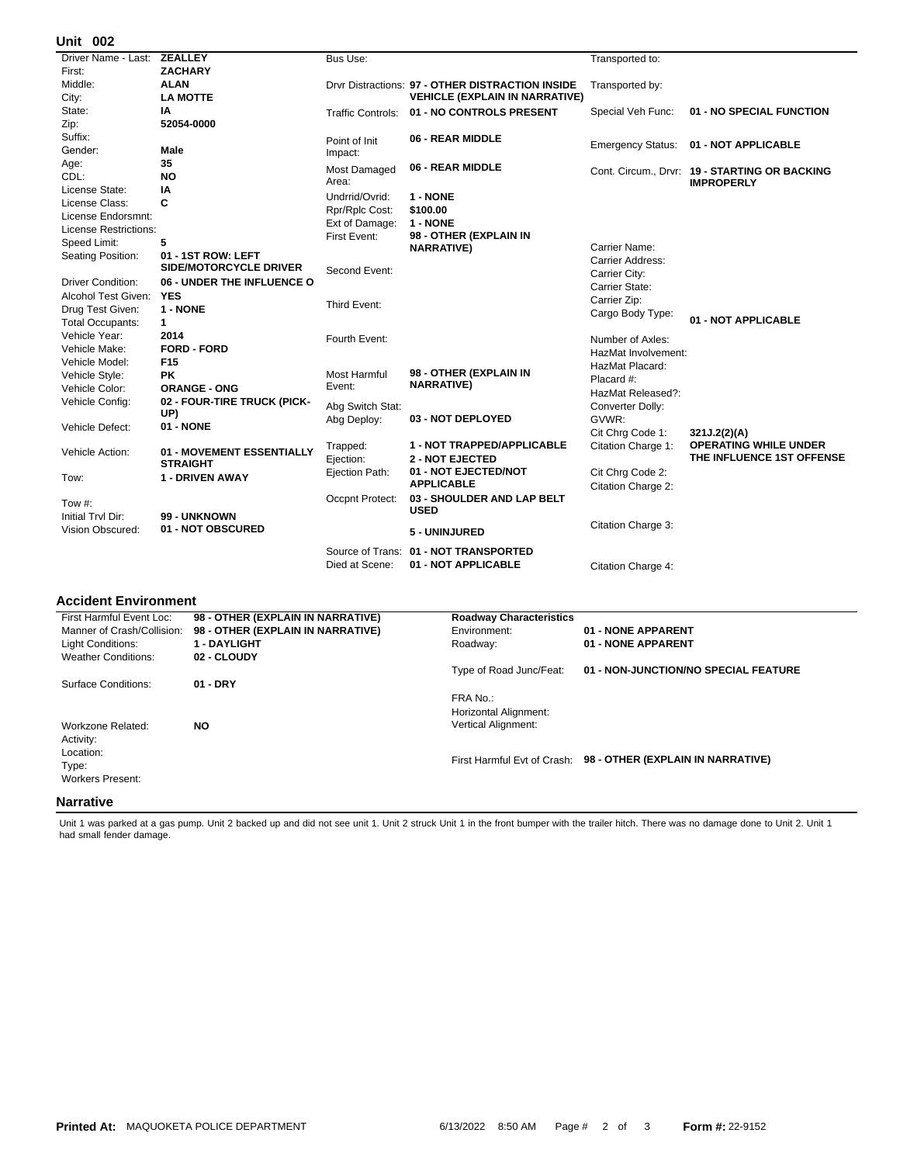## **002 Unit**

| Driver Name - Last: ZEALLEY |                             | Bus Use:            |                                                  | Transported to:          |                                               |
|-----------------------------|-----------------------------|---------------------|--------------------------------------------------|--------------------------|-----------------------------------------------|
| First:                      | <b>ZACHARY</b>              |                     |                                                  |                          |                                               |
| Middle:                     | <b>ALAN</b>                 |                     | Drvr Distractions: 97 - OTHER DISTRACTION INSIDE | Transported by:          |                                               |
| City:                       | <b>LA MOTTE</b>             |                     | <b>VEHICLE (EXPLAIN IN NARRATIVE)</b>            |                          |                                               |
| State:                      | ΙA                          |                     | Traffic Controls: 01 - NO CONTROLS PRESENT       | Special Veh Func:        | 01 - NO SPECIAL FUNCTION                      |
| Zip:                        | 52054-0000                  |                     |                                                  |                          |                                               |
| Suffix:                     |                             | Point of Init       | 06 - REAR MIDDLE                                 | <b>Emergency Status:</b> | 01 - NOT APPLICABLE                           |
| Gender:                     | Male                        | Impact:             |                                                  |                          |                                               |
| Age:                        | 35                          | Most Damaged        | 06 - REAR MIDDLE                                 |                          | Cont. Circum., Drvr: 19 - STARTING OR BACKING |
| CDL:                        | <b>NO</b>                   | Area:               |                                                  |                          | <b>IMPROPERLY</b>                             |
| License State:              | IA                          | Undrrid/Ovrid:      | 1 - NONE                                         |                          |                                               |
| License Class:              | C                           | Rpr/Rplc Cost:      | \$100.00                                         |                          |                                               |
| License Endorsmnt:          |                             | Ext of Damage:      | 1 - NONE                                         |                          |                                               |
| License Restrictions:       |                             | First Event:        | 98 - OTHER (EXPLAIN IN                           |                          |                                               |
| Speed Limit:                | 5                           |                     | <b>NARRATIVE)</b>                                | Carrier Name:            |                                               |
| Seating Position:           | 01 - 1ST ROW: LEFT          |                     |                                                  | Carrier Address:         |                                               |
|                             | SIDE/MOTORCYCLE DRIVER      | Second Event:       |                                                  | Carrier City:            |                                               |
| <b>Driver Condition:</b>    | 06 - UNDER THE INFLUENCE O  |                     |                                                  | Carrier State:           |                                               |
| Alcohol Test Given:         | <b>YES</b>                  |                     |                                                  | Carrier Zip:             |                                               |
| Drug Test Given:            | 1 - NONE                    | Third Event:        |                                                  | Cargo Body Type:         |                                               |
| <b>Total Occupants:</b>     | $\mathbf 1$                 |                     |                                                  |                          | 01 - NOT APPLICABLE                           |
| Vehicle Year:               | 2014                        | Fourth Event:       |                                                  | Number of Axles:         |                                               |
| Vehicle Make:               | <b>FORD - FORD</b>          |                     |                                                  | HazMat Involvement:      |                                               |
| Vehicle Model:              | F <sub>15</sub>             |                     |                                                  | HazMat Placard:          |                                               |
| Vehicle Style:              | <b>PK</b>                   | <b>Most Harmful</b> | 98 - OTHER (EXPLAIN IN                           | Placard #:               |                                               |
| Vehicle Color:              | <b>ORANGE - ONG</b>         | Event:              | <b>NARRATIVE)</b>                                | HazMat Released?:        |                                               |
| Vehicle Config:             | 02 - FOUR-TIRE TRUCK (PICK- | Abg Switch Stat:    |                                                  | Converter Dolly:         |                                               |
|                             | UP)                         | Abg Deploy:         | 03 - NOT DEPLOYED                                | GVWR:                    |                                               |
| Vehicle Defect:             | 01 - NONE                   |                     |                                                  | Cit Chrg Code 1:         | 321J.2(2)(A)                                  |
|                             |                             | Trapped:            | 1 - NOT TRAPPED/APPLICABLE                       | Citation Charge 1:       | <b>OPERATING WHILE UNDER</b>                  |
| Vehicle Action:             | 01 - MOVEMENT ESSENTIALLY   | Ejection:           | <b>2 - NOT EJECTED</b>                           |                          | THE INFLUENCE 1ST OFFENSE                     |
|                             | <b>STRAIGHT</b>             | Ejection Path:      | 01 - NOT EJECTED/NOT                             | Cit Chrg Code 2:         |                                               |
| Tow:                        | <b>1 - DRIVEN AWAY</b>      |                     | <b>APPLICABLE</b>                                | Citation Charge 2:       |                                               |
|                             |                             | Occpnt Protect:     | 03 - SHOULDER AND LAP BELT                       |                          |                                               |
| Tow #:                      |                             |                     | <b>USED</b>                                      |                          |                                               |
| Initial Trvl Dir:           | 99 - UNKNOWN                |                     |                                                  | Citation Charge 3:       |                                               |
| Vision Obscured:            | 01 - NOT OBSCURED           |                     | 5 - UNINJURED                                    |                          |                                               |
|                             |                             |                     | Source of Trans: 01 - NOT TRANSPORTED            |                          |                                               |
|                             |                             | Died at Scene:      | 01 - NOT APPLICABLE                              | Citation Charge 4:       |                                               |
|                             |                             |                     |                                                  |                          |                                               |

## **Accident Environment**

| First Harmful Event Loc:   | 98 - OTHER (EXPLAIN IN NARRATIVE) | <b>Roadway Characteristics</b> |                                                               |
|----------------------------|-----------------------------------|--------------------------------|---------------------------------------------------------------|
| Manner of Crash/Collision: | 98 - OTHER (EXPLAIN IN NARRATIVE) | Environment:                   | 01 - NONE APPARENT                                            |
| Light Conditions:          | <b>1 - DAYLIGHT</b>               | Roadway:                       | 01 - NONE APPARENT                                            |
| <b>Weather Conditions:</b> | 02 - CLOUDY                       |                                |                                                               |
|                            |                                   | Type of Road Junc/Feat:        | 01 - NON-JUNCTION/NO SPECIAL FEATURE                          |
| Surface Conditions:        | $01 - DRY$                        |                                |                                                               |
|                            |                                   | FRA No.:                       |                                                               |
|                            |                                   | Horizontal Alignment:          |                                                               |
| Workzone Related:          | <b>NO</b>                         | <b>Vertical Alignment:</b>     |                                                               |
| Activity:                  |                                   |                                |                                                               |
| Location:                  |                                   |                                |                                                               |
| Type:                      |                                   |                                | First Harmful Evt of Crash: 98 - OTHER (EXPLAIN IN NARRATIVE) |
| <b>Workers Present:</b>    |                                   |                                |                                                               |
|                            |                                   |                                |                                                               |
| <b>Narrative</b>           |                                   |                                |                                                               |

Unit 1 was parked at a gas pump. Unit 2 backed up and did not see unit 1. Unit 2 struck Unit 1 in the front bumper with the trailer hitch. There was no damage done to Unit 2. Unit 1<br>had small fender damage.